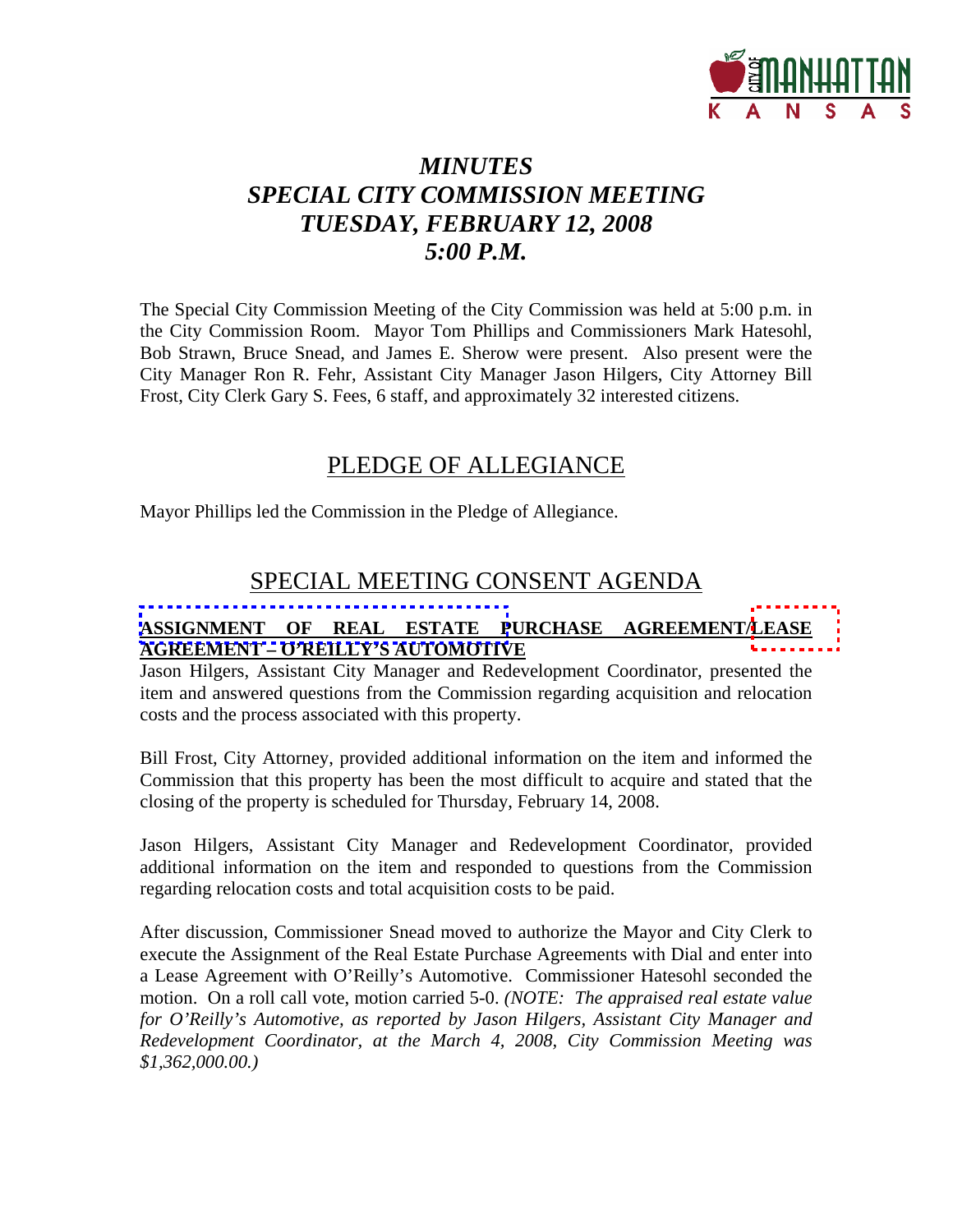

# *MINUTES SPECIAL CITY COMMISSION MEETING TUESDAY, FEBRUARY 12, 2008 5:00 P.M.*

The Special City Commission Meeting of the City Commission was held at 5:00 p.m. in the City Commission Room. Mayor Tom Phillips and Commissioners Mark Hatesohl, Bob Strawn, Bruce Snead, and James E. Sherow were present. Also present were the City Manager Ron R. Fehr, Assistant City Manager Jason Hilgers, City Attorney Bill Frost, City Clerk Gary S. Fees, 6 staff, and approximately 32 interested citizens.

## PLEDGE OF ALLEGIANCE

Mayor Phillips led the Commission in the Pledge of Allegiance.

## SPECIAL MEETING CONSENT AGENDA

### **ASSIGNMENT OF REAL ESTATE PURCHASE AGREEMENT/LEASE AGREEMENT – O'REILLY'S AUTOMOTIVE**

Jason Hilgers, Assistant City Manager and Redevelopment Coordinator, presented the item and answered questions from the Commission regarding acquisition and relocation costs and the process associated with this property.

Bill Frost, City Attorney, provided additional information on the item and informed the Commission that this property has been the most difficult to acquire and stated that the closing of the property is scheduled for Thursday, February 14, 2008.

Jason Hilgers, Assistant City Manager and Redevelopment Coordinator, provided additional information on the item and responded to questions from the Commission regarding relocation costs and total acquisition costs to be paid.

After discussion, Commissioner Snead moved to authorize the Mayor and City Clerk to execute the Assignment of the Real Estate Purchase Agreements with Dial and enter into a Lease Agreement with O'Reilly's Automotive. Commissioner Hatesohl seconded the motion. On a roll call vote, motion carried 5-0. *(NOTE: The appraised real estate value for O'Reilly's Automotive, as reported by Jason Hilgers, Assistant City Manager and Redevelopment Coordinator, at the March 4, 2008, City Commission Meeting was \$1,362,000.00.)*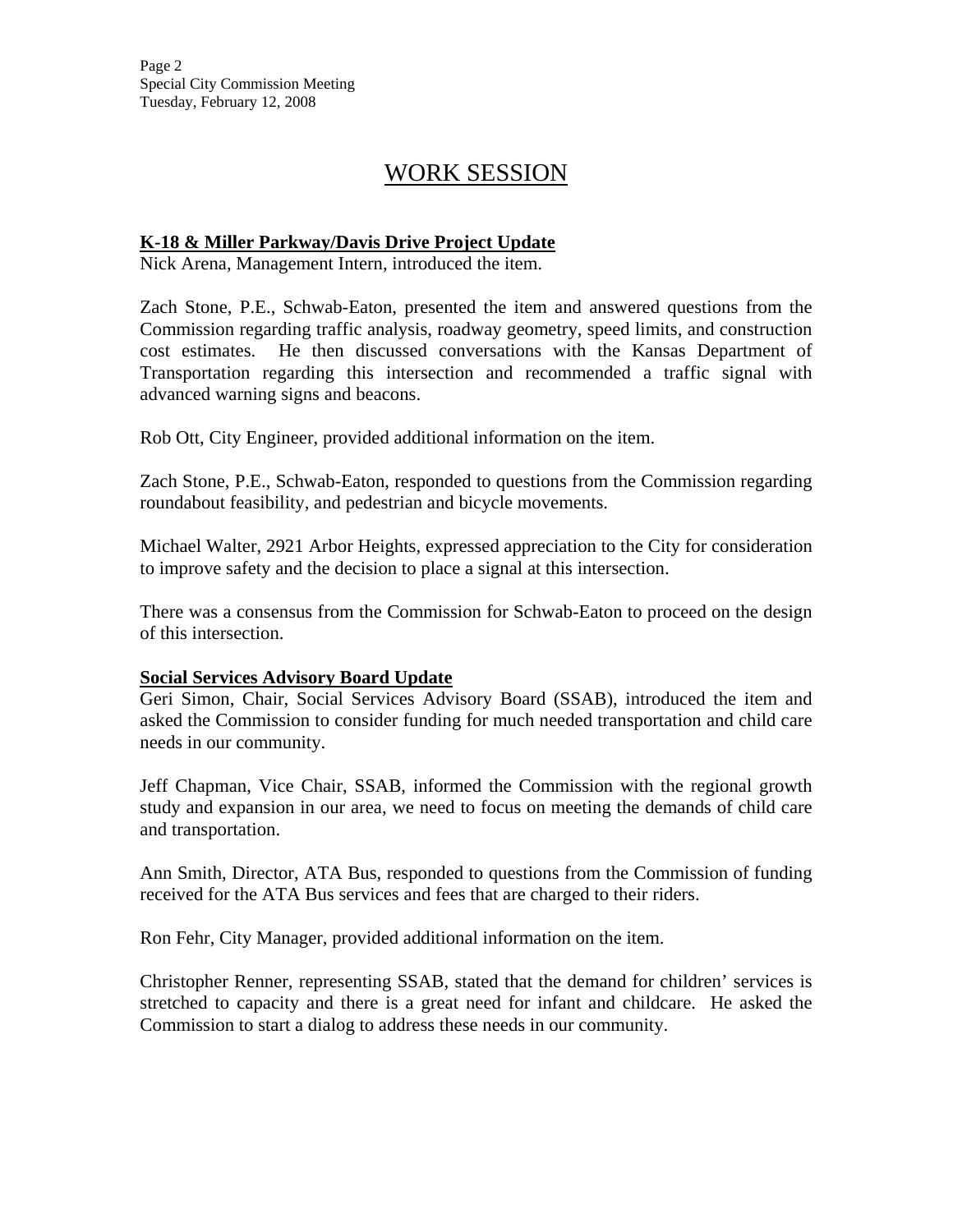## WORK SESSION

### **K-18 & Miller Parkway/Davis Drive Project Update**

Nick Arena, Management Intern, introduced the item.

Zach Stone, P.E., Schwab-Eaton, presented the item and answered questions from the Commission regarding traffic analysis, roadway geometry, speed limits, and construction cost estimates. He then discussed conversations with the Kansas Department of Transportation regarding this intersection and recommended a traffic signal with advanced warning signs and beacons.

Rob Ott, City Engineer, provided additional information on the item.

Zach Stone, P.E., Schwab-Eaton, responded to questions from the Commission regarding roundabout feasibility, and pedestrian and bicycle movements.

Michael Walter, 2921 Arbor Heights, expressed appreciation to the City for consideration to improve safety and the decision to place a signal at this intersection.

There was a consensus from the Commission for Schwab-Eaton to proceed on the design of this intersection.

### **Social Services Advisory Board Update**

Geri Simon, Chair, Social Services Advisory Board (SSAB), introduced the item and asked the Commission to consider funding for much needed transportation and child care needs in our community.

Jeff Chapman, Vice Chair, SSAB, informed the Commission with the regional growth study and expansion in our area, we need to focus on meeting the demands of child care and transportation.

Ann Smith, Director, ATA Bus, responded to questions from the Commission of funding received for the ATA Bus services and fees that are charged to their riders.

Ron Fehr, City Manager, provided additional information on the item.

Christopher Renner, representing SSAB, stated that the demand for children' services is stretched to capacity and there is a great need for infant and childcare. He asked the Commission to start a dialog to address these needs in our community.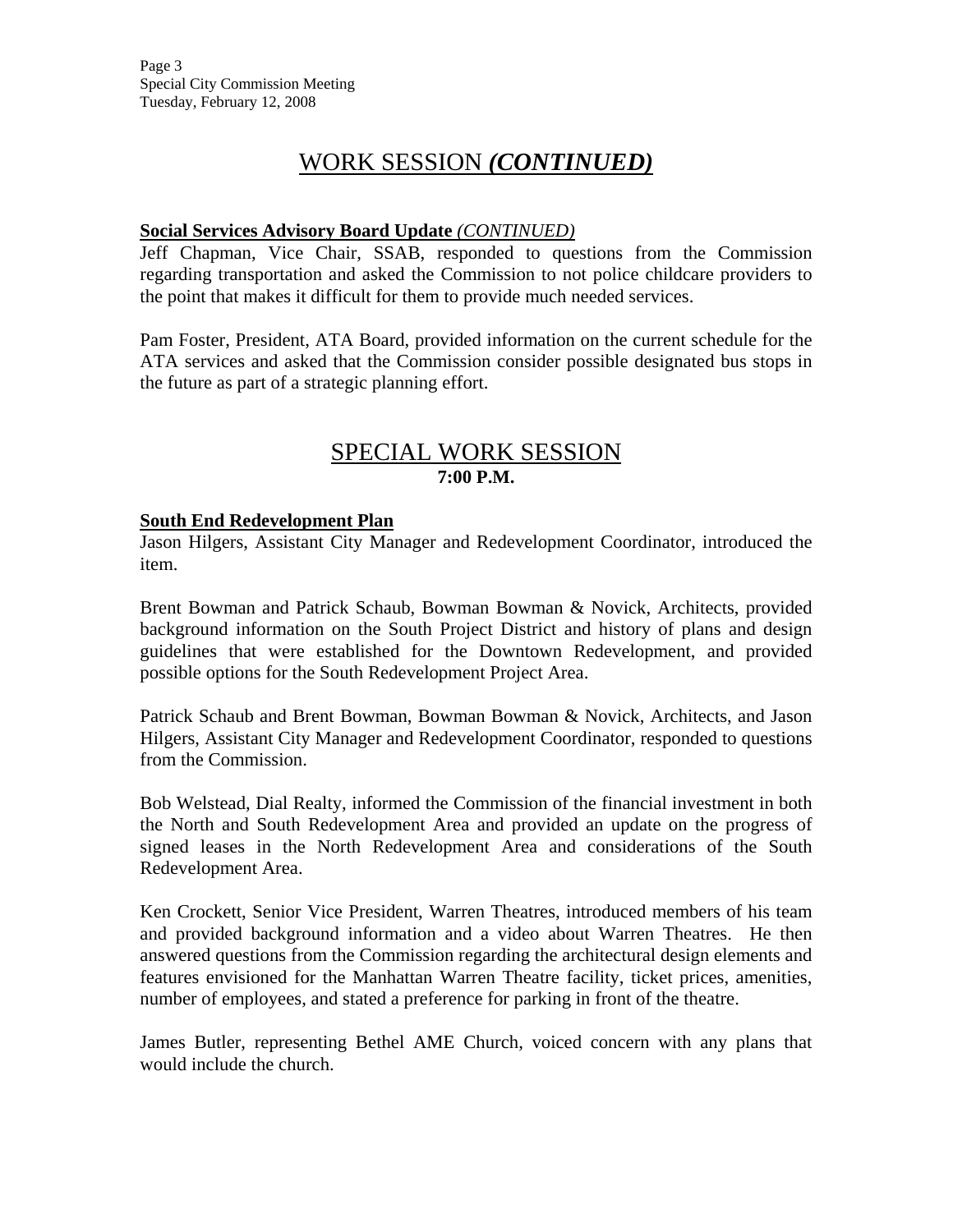# WORK SESSION *(CONTINUED)*

### **Social Services Advisory Board Update** *(CONTINUED)*

Jeff Chapman, Vice Chair, SSAB, responded to questions from the Commission regarding transportation and asked the Commission to not police childcare providers to the point that makes it difficult for them to provide much needed services.

Pam Foster, President, ATA Board, provided information on the current schedule for the ATA services and asked that the Commission consider possible designated bus stops in the future as part of a strategic planning effort.

## SPECIAL WORK SESSION **7:00 P.M.**

### **South End Redevelopment Plan**

Jason Hilgers, Assistant City Manager and Redevelopment Coordinator, introduced the item.

Brent Bowman and Patrick Schaub, Bowman Bowman & Novick, Architects, provided background information on the South Project District and history of plans and design guidelines that were established for the Downtown Redevelopment, and provided possible options for the South Redevelopment Project Area.

Patrick Schaub and Brent Bowman, Bowman Bowman & Novick, Architects, and Jason Hilgers, Assistant City Manager and Redevelopment Coordinator, responded to questions from the Commission.

Bob Welstead, Dial Realty, informed the Commission of the financial investment in both the North and South Redevelopment Area and provided an update on the progress of signed leases in the North Redevelopment Area and considerations of the South Redevelopment Area.

Ken Crockett, Senior Vice President, Warren Theatres, introduced members of his team and provided background information and a video about Warren Theatres. He then answered questions from the Commission regarding the architectural design elements and features envisioned for the Manhattan Warren Theatre facility, ticket prices, amenities, number of employees, and stated a preference for parking in front of the theatre.

James Butler, representing Bethel AME Church, voiced concern with any plans that would include the church.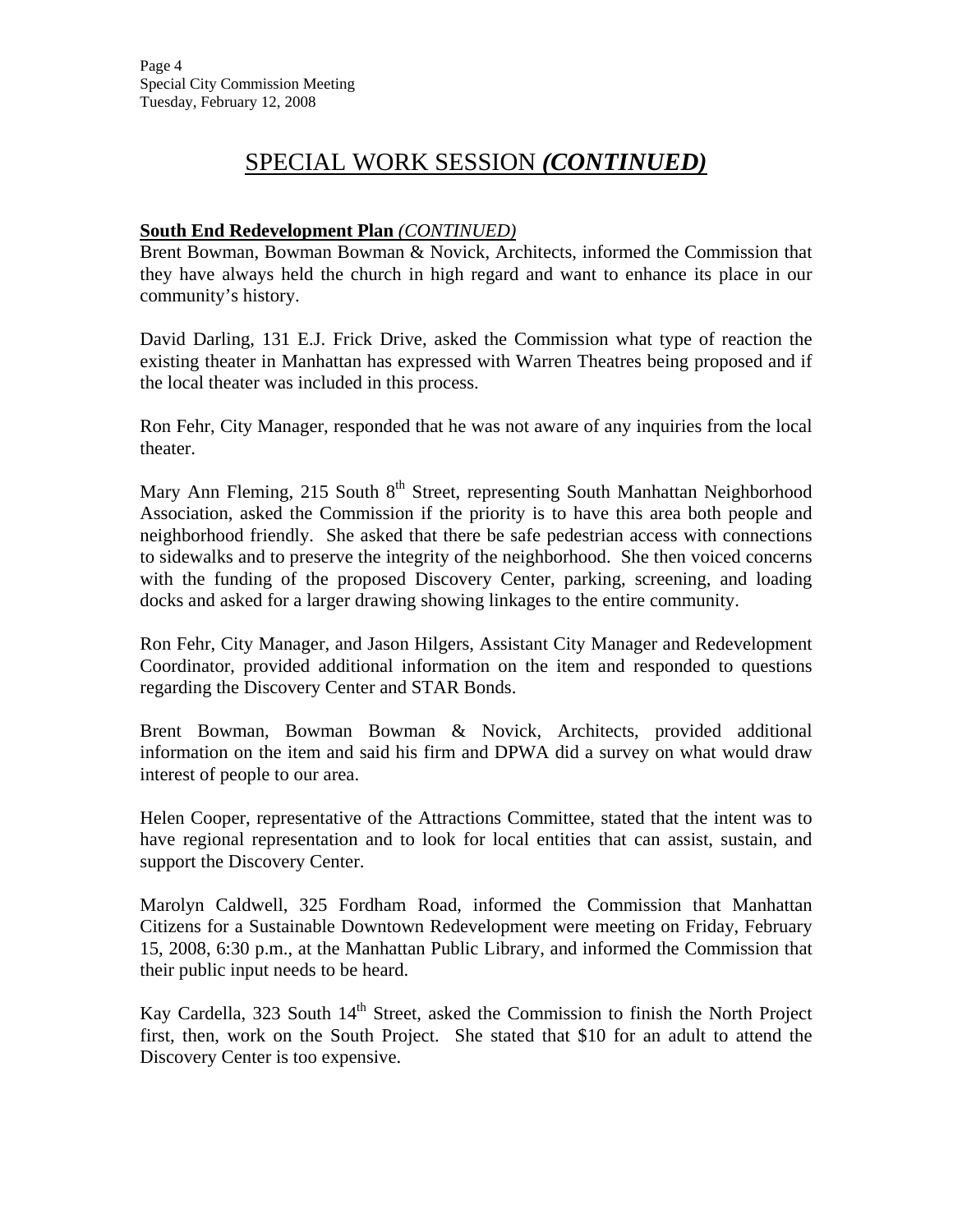## SPECIAL WORK SESSION *(CONTINUED)*

### **South End Redevelopment Plan** *(CONTINUED)*

Brent Bowman, Bowman Bowman & Novick, Architects, informed the Commission that they have always held the church in high regard and want to enhance its place in our community's history.

David Darling, 131 E.J. Frick Drive, asked the Commission what type of reaction the existing theater in Manhattan has expressed with Warren Theatres being proposed and if the local theater was included in this process.

Ron Fehr, City Manager, responded that he was not aware of any inquiries from the local theater.

Mary Ann Fleming, 215 South 8<sup>th</sup> Street, representing South Manhattan Neighborhood Association, asked the Commission if the priority is to have this area both people and neighborhood friendly. She asked that there be safe pedestrian access with connections to sidewalks and to preserve the integrity of the neighborhood. She then voiced concerns with the funding of the proposed Discovery Center, parking, screening, and loading docks and asked for a larger drawing showing linkages to the entire community.

Ron Fehr, City Manager, and Jason Hilgers, Assistant City Manager and Redevelopment Coordinator, provided additional information on the item and responded to questions regarding the Discovery Center and STAR Bonds.

Brent Bowman, Bowman Bowman & Novick, Architects, provided additional information on the item and said his firm and DPWA did a survey on what would draw interest of people to our area.

Helen Cooper, representative of the Attractions Committee, stated that the intent was to have regional representation and to look for local entities that can assist, sustain, and support the Discovery Center.

Marolyn Caldwell, 325 Fordham Road, informed the Commission that Manhattan Citizens for a Sustainable Downtown Redevelopment were meeting on Friday, February 15, 2008, 6:30 p.m., at the Manhattan Public Library, and informed the Commission that their public input needs to be heard.

Kay Cardella, 323 South 14<sup>th</sup> Street, asked the Commission to finish the North Project first, then, work on the South Project. She stated that \$10 for an adult to attend the Discovery Center is too expensive.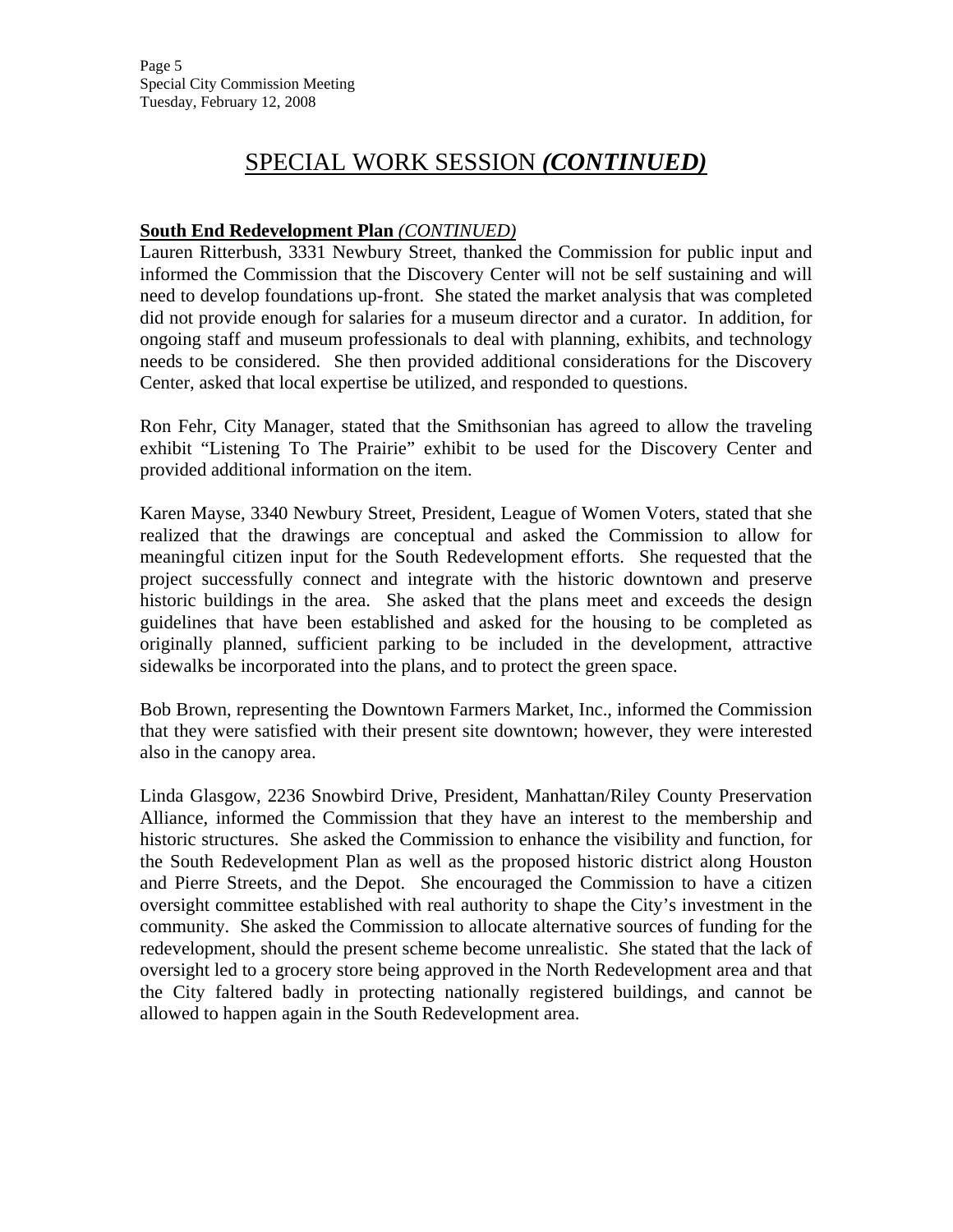## SPECIAL WORK SESSION *(CONTINUED)*

### **South End Redevelopment Plan** *(CONTINUED)*

Lauren Ritterbush, 3331 Newbury Street, thanked the Commission for public input and informed the Commission that the Discovery Center will not be self sustaining and will need to develop foundations up-front. She stated the market analysis that was completed did not provide enough for salaries for a museum director and a curator. In addition, for ongoing staff and museum professionals to deal with planning, exhibits, and technology needs to be considered. She then provided additional considerations for the Discovery Center, asked that local expertise be utilized, and responded to questions.

Ron Fehr, City Manager, stated that the Smithsonian has agreed to allow the traveling exhibit "Listening To The Prairie" exhibit to be used for the Discovery Center and provided additional information on the item.

Karen Mayse, 3340 Newbury Street, President, League of Women Voters, stated that she realized that the drawings are conceptual and asked the Commission to allow for meaningful citizen input for the South Redevelopment efforts. She requested that the project successfully connect and integrate with the historic downtown and preserve historic buildings in the area. She asked that the plans meet and exceeds the design guidelines that have been established and asked for the housing to be completed as originally planned, sufficient parking to be included in the development, attractive sidewalks be incorporated into the plans, and to protect the green space.

Bob Brown, representing the Downtown Farmers Market, Inc., informed the Commission that they were satisfied with their present site downtown; however, they were interested also in the canopy area.

Linda Glasgow, 2236 Snowbird Drive, President, Manhattan/Riley County Preservation Alliance, informed the Commission that they have an interest to the membership and historic structures. She asked the Commission to enhance the visibility and function, for the South Redevelopment Plan as well as the proposed historic district along Houston and Pierre Streets, and the Depot. She encouraged the Commission to have a citizen oversight committee established with real authority to shape the City's investment in the community. She asked the Commission to allocate alternative sources of funding for the redevelopment, should the present scheme become unrealistic. She stated that the lack of oversight led to a grocery store being approved in the North Redevelopment area and that the City faltered badly in protecting nationally registered buildings, and cannot be allowed to happen again in the South Redevelopment area.